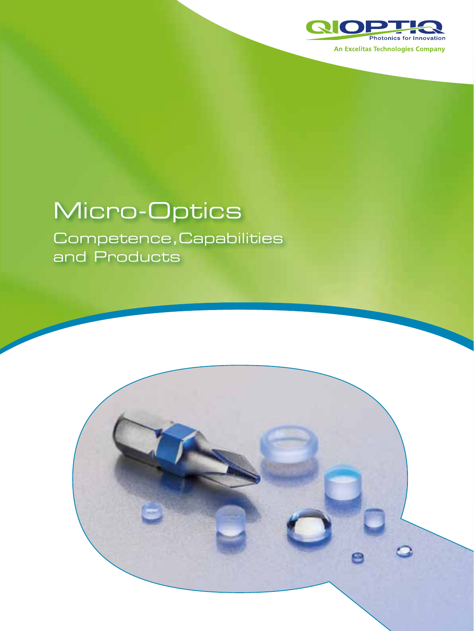

# Micro-Optics

Competence,Capabilities and Products

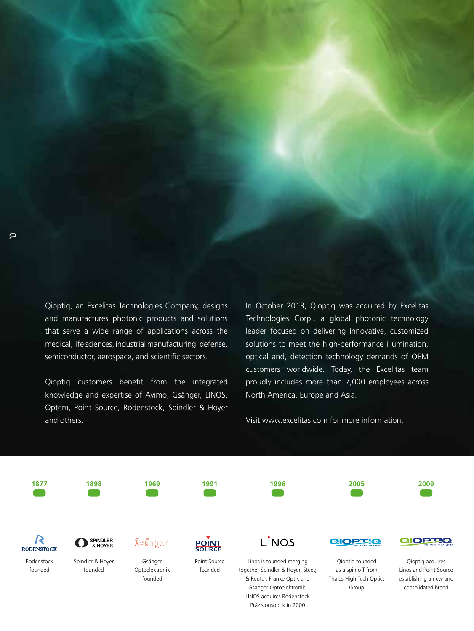Qioptiq, an Excelitas Technologies Company, designs and manufactures photonic products and solutions that serve a wide range of applications across the medical, life sciences, industrial manufacturing, defense, semiconductor, aerospace, and scientific sectors.

Qioptiq customers benefit from the integrated knowledge and expertise of Avimo, Gsänger, LINOS, Optem, Point Source, Rodenstock, Spindler & Hoyer and others.

In October 2013, Qioptiq was acquired by Excelitas Technologies Corp., a global photonic technology leader focused on delivering innovative, customized solutions to meet the high-performance illumination, optical and, detection technology demands of OEM customers worldwide. Today, the Excelitas team proudly includes more than 7,000 employees across North America, Europe and Asia.

Visit [www.excelitas.com](http://www.excelitas.com) for more information.

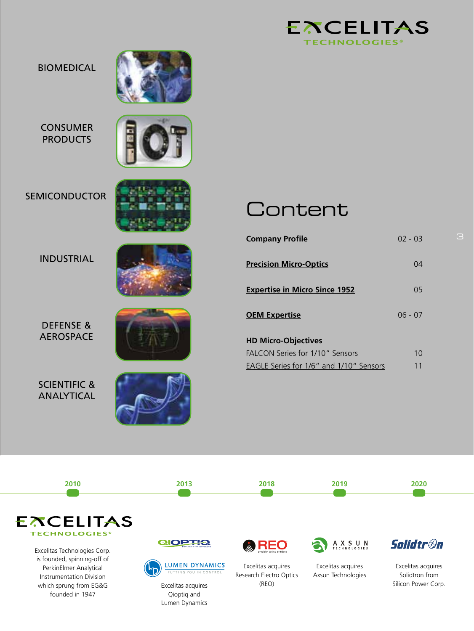

#### BIOMEDICAL



CONSUMER **PRODUCTS** 



#### SEMICONDUCTOR

#### INDUSTRIAL



DEFENSE & AEROSPACE

SCIENTIFIC & ANALYTICAL



### **Content**

| <b>Company Profile</b>                  | 02 - 03        |
|-----------------------------------------|----------------|
| <b>Precision Micro-Optics</b>           | 04             |
| <b>Expertise in Micro Since 1952</b>    | 0 <sub>5</sub> |
| <b>OEM Expertise</b>                    | $06 - 07$      |
| <b>HD Micro-Objectives</b>              |                |
| FALCON Series for 1/10" Sensors         | 1 <sub>0</sub> |
| EAGLE Series for 1/6" and 1/10" Sensors | 11             |

3



Lumen Dynamics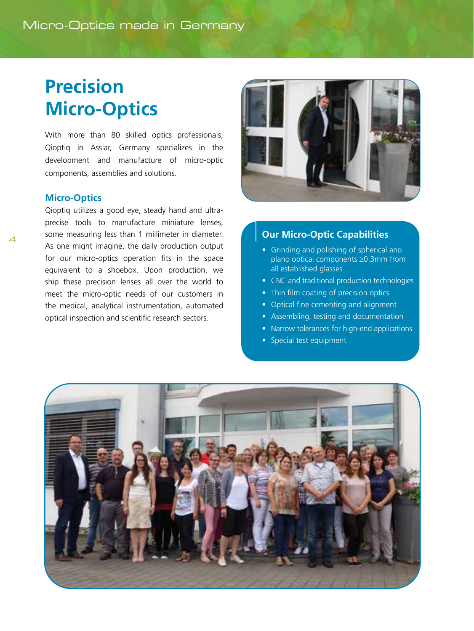## <span id="page-3-0"></span>**Precision Micro-Optics**

With more than 80 skilled optics professionals, Qioptiq in Asslar, Germany specializes in the development and manufacture of micro-optic components, assemblies and solutions.

#### **Micro-Optics**

Qioptiq utilizes a good eye, steady hand and ultraprecise tools to manufacture miniature lenses, some measuring less than 1 millimeter in diameter. As one might imagine, the daily production output for our micro-optics operation fits in the space equivalent to a shoebox. Upon production, we ship these precision lenses all over the world to meet the micro-optic needs of our customers in the medical, analytical instrumentation, automated optical inspection and scientific research sectors.



#### **Our Micro-Optic Capabilities**

- Grinding and polishing of spherical and plano optical components ≥0.3mm from all established glasses
- CNC and traditional production technologies
- Thin film coating of precision optics
- Optical fine cementing and alignment
- Assembling, testing and documentation
- Narrow tolerances for high-end applications
- Special test equipment

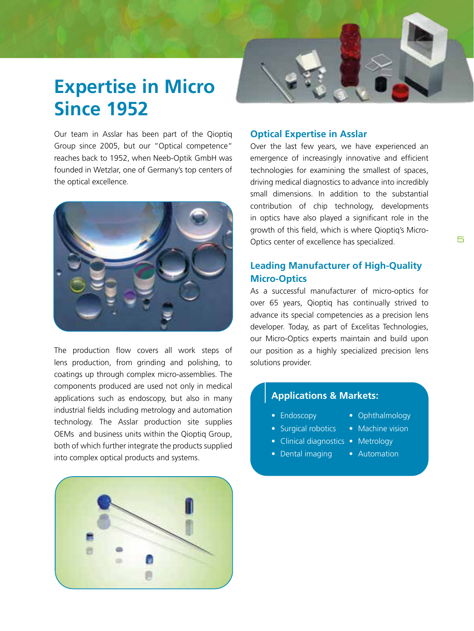## <span id="page-4-0"></span>**Expertise in Micro Since 1952**

Our team in Asslar has been part of the Qioptiq Group since 2005, but our "Optical competence" reaches back to 1952, when Neeb-Optik GmbH was founded in Wetzlar, one of Germany's top centers of the optical excellence.



The production flow covers all work steps of lens production, from grinding and polishing, to coatings up through complex micro-assemblies. The components produced are used not only in medical applications such as endoscopy, but also in many industrial fields including metrology and automation technology. The Asslar production site supplies OEMs and business units within the Qioptiq Group, both of which further integrate the products supplied into complex optical products and systems.

#### **Optical Expertise in Asslar**

Over the last few years, we have experienced an emergence of increasingly innovative and efficient technologies for examining the smallest of spaces, driving medical diagnostics to advance into incredibly small dimensions. In addition to the substantial contribution of chip technology, developments in optics have also played a significant role in the growth of this field, which is where Qioptiq's Micro-Optics center of excellence has specialized.

#### **Leading Manufacturer of High-Quality Micro-Optics**

As a successful manufacturer of micro-optics for over 65 years, Qioptiq has continually strived to advance its special competencies as a precision lens developer. Today, as part of Excelitas Technologies, our Micro-Optics experts maintain and build upon our position as a highly specialized precision lens solutions provider.

#### **Applications & Markets:**

- Endoscopy • Ophthalmology
- Surgical robotics • Machine vision
- Clinical diagnostics Metrology
- Dental imaging
- Automation

5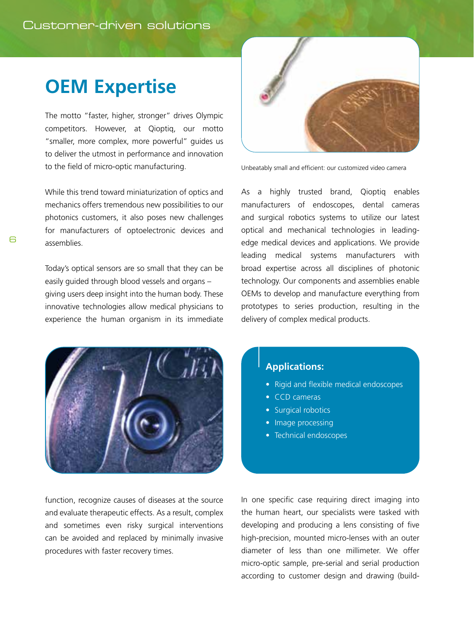### <span id="page-5-0"></span>**OEM Expertise**

The motto "faster, higher, stronger" drives Olympic competitors. However, at Qioptiq, our motto "smaller, more complex, more powerful" guides us to deliver the utmost in performance and innovation to the field of micro-optic manufacturing.

While this trend toward miniaturization of optics and mechanics offers tremendous new possibilities to our photonics customers, it also poses new challenges for manufacturers of optoelectronic devices and assemblies.

Today's optical sensors are so small that they can be easily guided through blood vessels and organs – giving users deep insight into the human body. These innovative technologies allow medical physicians to experience the human organism in its immediate



function, recognize causes of diseases at the source and evaluate therapeutic effects. As a result, complex and sometimes even risky surgical interventions can be avoided and replaced by minimally invasive procedures with faster recovery times.



Unbeatably small and efficient: our customized video camera

As a highly trusted brand, Qioptiq enables manufacturers of endoscopes, dental cameras and surgical robotics systems to utilize our latest optical and mechanical technologies in leadingedge medical devices and applications. We provide leading medical systems manufacturers with broad expertise across all disciplines of photonic technology. Our components and assemblies enable OEMs to develop and manufacture everything from prototypes to series production, resulting in the delivery of complex medical products.

#### **Applications:**

- Rigid and flexible medical endoscopes
- CCD cameras
- Surgical robotics
- Image processing
- Technical endoscopes

In one specific case requiring direct imaging into the human heart, our specialists were tasked with developing and producing a lens consisting of five high-precision, mounted micro-lenses with an outer diameter of less than one millimeter. We offer micro-optic sample, pre-serial and serial production according to customer design and drawing (build-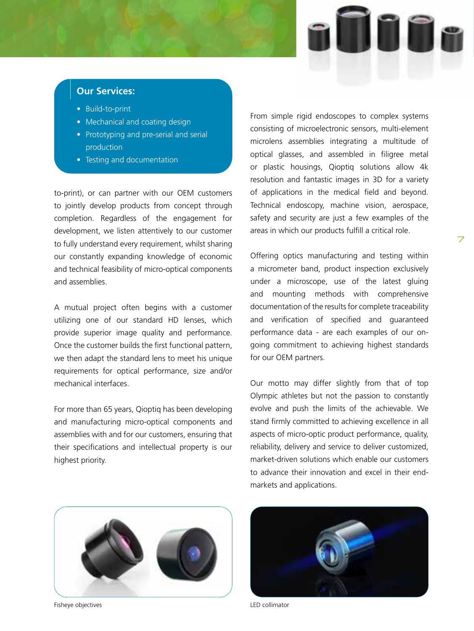

7

#### **Our Services:**

- Build-to-print
- Mechanical and coating design
- Prototyping and pre-serial and serial production
- Testing and documentation

to-print), or can partner with our OEM customers to jointly develop products from concept through completion. Regardless of the engagement for development, we listen attentively to our customer to fully understand every requirement, whilst sharing our constantly expanding knowledge of economic and technical feasibility of micro-optical components and assemblies.

A mutual project often begins with a customer utilizing one of our standard HD lenses, which provide superior image quality and performance. Once the customer builds the first functional pattern, we then adapt the standard lens to meet his unique requirements for optical performance, size and/or mechanical interfaces.

For more than 65 years, Qioptiq has been developing and manufacturing micro-optical components and assemblies with and for our customers, ensuring that their specifications and intellectual property is our highest priority.

From simple rigid endoscopes to complex systems consisting of microelectronic sensors, multi-element microlens assemblies integrating a multitude of optical glasses, and assembled in filigree metal or plastic housings, Qioptiq solutions allow 4k resolution and fantastic images in 3D for a variety of applications in the medical field and beyond. Technical endoscopy, machine vision, aerospace, safety and security are just a few examples of the areas in which our products fulfill a critical role.

Offering optics manufacturing and testing within a micrometer band, product inspection exclusively under a microscope, use of the latest gluing and mounting methods with comprehensive documentation of the results for complete traceability and verification of specified and guaranteed performance data - are each examples of our ongoing commitment to achieving highest standards for our OEM partners.

Our motto may differ slightly from that of top Olympic athletes but not the passion to constantly evolve and push the limits of the achievable. We stand firmly committed to achieving excellence in all aspects of micro-optic product performance, quality, reliability, delivery and service to deliver customized, market-driven solutions which enable our customers to advance their innovation and excel in their endmarkets and applications.



Fisheye objectives **LED** collimator

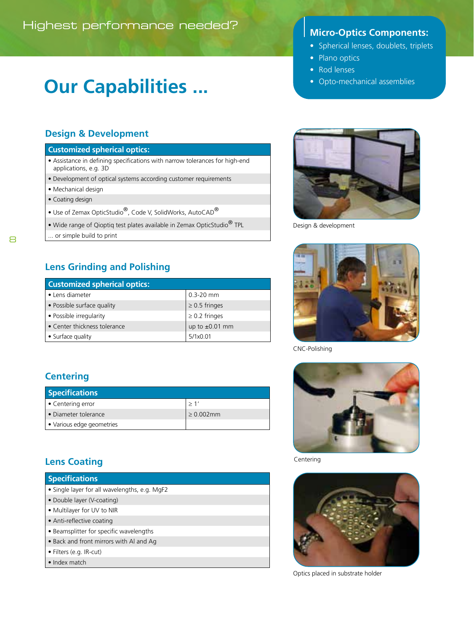## **Our Capabilities ...**

#### **Design & Development**

#### **Customized spherical optics:**

- Assistance in defining specifications with narrow tolerances for high-end applications, e.g. 3D
- Development of optical systems according customer requirements
- Mechanical design
- Coating design
- Use of Zemax OpticStudio®, Code V, SolidWorks, AutoCAD®
- Wide range of Qioptiq test plates available in Zemax OpticStudio® TPL
- ... or simple build to print

#### **Lens Grinding and Polishing**

| <b>Customized spherical optics:</b> |                     |
|-------------------------------------|---------------------|
| • Lens diameter                     | $0.3 - 20$ mm       |
| • Possible surface quality          | $\geq$ 0.5 fringes  |
| • Possible irregularity             | $\geq$ 0.2 fringes  |
| • Center thickness tolerance        | up to $\pm 0.01$ mm |
| • Surface quality                   | 5/1x0.01            |

#### **Centering**

| <b>Specifications</b>     |              |
|---------------------------|--------------|
| Centering error           | >1'          |
| Diameter tolerance        | $> 0.002$ mm |
| ● Various edge geometries |              |

### **Lens Coating**

| <b>Specifications</b>                         |
|-----------------------------------------------|
| • Single layer for all wavelengths, e.g. MgF2 |
| • Double layer (V-coating)                    |
| • Multilayer for UV to NIR                    |
| • Anti-reflective coating                     |
| • Beamsplitter for specific wavelengths       |
| • Back and front mirrors with Al and Ag       |
| • Filters (e.g. IR-cut)                       |
| $\bullet$ Index match                         |

- Spherical lenses, doublets, triplets
- Plano optics
- Rod lenses
- Opto-mechanical assemblies



Design & development



CNC-Polishing



Centering



Optics placed in substrate holder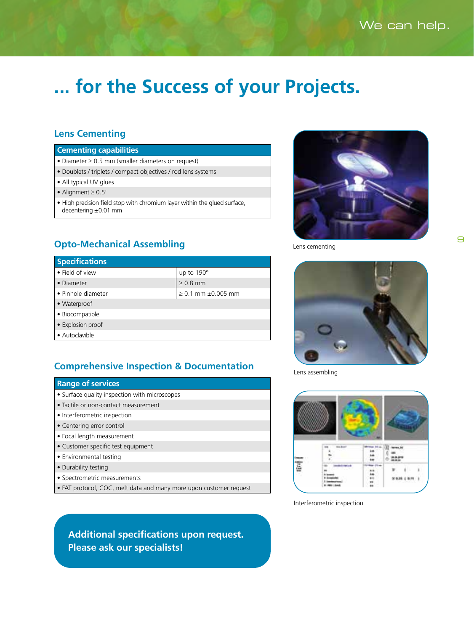## **... for the Success of your Projects.**

#### **Lens Cementing**

#### **Cementing capabilities**

- Diameter ≥ 0.5 mm (smaller diameters on request)
- Doublets / triplets / compact objectives / rod lens systems
- All typical UV glues
- Alignment ≥ 0.5'
- High precision field stop with chromium layer within the glued surface, decentering ±0.01 mm



Lens cementing

#### **Opto-Mechanical Assembling**

| <b>Specifications</b> |                              |
|-----------------------|------------------------------|
| • Field of view       | up to 190°                   |
| • Diameter            | $> 0.8$ mm                   |
| • Pinhole diameter    | $\geq 0.1$ mm $\pm 0.005$ mm |
| • Waterproof          |                              |
| · Biocompatible       |                              |
| • Explosion proof     |                              |
| • Autoclavible        |                              |

#### **Comprehensive Inspection & Documentation**

#### **Range of services**

- Surface quality inspection with microscopes
- Tactile or non-contact measurement
- Interferometric inspection
- Centering error control
- Focal length measurement
- Customer specific test equipment
- Environmental testing
- Durability testing
- Spectrometric measurements
- FAT protocol, COC, melt data and many more upon customer request

**Additional specifications upon request. Please ask our specialists!**



Lens assembling



Interferometric inspection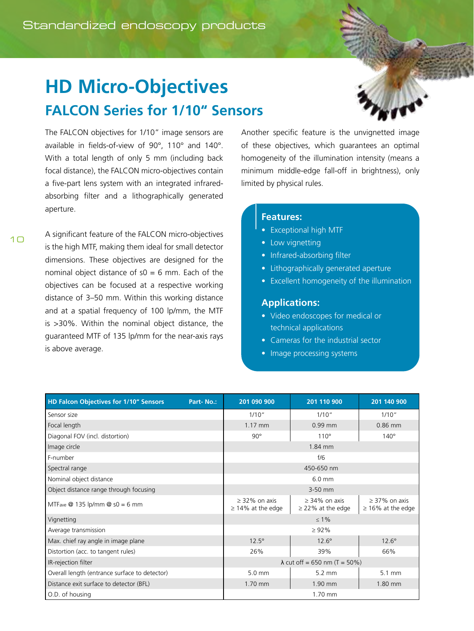### <span id="page-9-0"></span>**HD Micro-Objectives FALCON Series for 1/10" Sensors**



The FALCON objectives for 1/10" image sensors are available in fields-of-view of 90°, 110° and 140°. With a total length of only 5 mm (including back focal distance), the FALCON micro-objectives contain a five-part lens system with an integrated infraredabsorbing filter and a lithographically generated aperture.

A significant feature of the FALCON micro-objectives is the high MTF, making them ideal for small detector dimensions. These objectives are designed for the nominal object distance of  $s0 = 6$  mm. Each of the objectives can be focused at a respective working distance of 3–50 mm. Within this working distance and at a spatial frequency of 100 lp/mm, the MTF is >30%. Within the nominal object distance, the guaranteed MTF of 135 lp/mm for the near-axis rays is above average.

Another specific feature is the unvignetted image of these objectives, which guarantees an optimal homogeneity of the illumination intensity (means a minimum middle-edge fall-off in brightness), only limited by physical rules.

#### **Features:**

- Exceptional high MTF
- Low vignetting
- Infrared-absorbing filter
- Lithographically generated aperture
- Excellent homogeneity of the illumination

#### **Applications:**

- Video endoscopes for medical or technical applications
- Cameras for the industrial sector
- Image processing systems

| <b>HD Falcon Objectives for 1/10" Sensors</b> | Part-No.: | 201 090 900                                  | 201 110 900                                | 201 140 900                                  |
|-----------------------------------------------|-----------|----------------------------------------------|--------------------------------------------|----------------------------------------------|
| Sensor size                                   |           | 1/10''                                       | 1/10''                                     | 1/10''                                       |
| Focal length                                  |           | 1.17 mm                                      | $0.99$ mm                                  | 0.86 mm                                      |
| Diagonal FOV (incl. distortion)               |           | $90^\circ$                                   | $110^\circ$                                | $140^\circ$                                  |
| Image circle                                  |           | 1.84 mm                                      |                                            |                                              |
| F-number                                      |           | f/6                                          |                                            |                                              |
| Spectral range                                |           | 450-650 nm                                   |                                            |                                              |
| Nominal object distance                       |           | $6.0$ mm                                     |                                            |                                              |
| Object distance range through focusing        |           | 3-50 mm                                      |                                            |                                              |
| MTFave $@$ 135 lp/mm $@$ s0 = 6 mm            |           | $\geq$ 32% on axis<br>$\geq$ 14% at the edge | $> 34\%$ on axis<br>$\geq$ 22% at the edge | $\geq$ 37% on axis<br>$\geq$ 16% at the edge |
| Vignetting                                    |           |                                              | $\leq 1\%$                                 |                                              |
| Average transmission                          |           | $\geq 92\%$                                  |                                            |                                              |
| Max. chief ray angle in image plane           |           | $12.5^\circ$                                 | $12.6^\circ$                               | $12.6^\circ$                                 |
| Distortion (acc. to tangent rules)            |           | 26%                                          | 39%                                        | 66%                                          |
| IR-rejection filter                           |           | $\lambda$ cut off = 650 nm (T = 50%)         |                                            |                                              |
| Overall length (entrance surface to detector) |           | 5.0 mm                                       | $5.2 \text{ mm}$                           | $5.1 \text{ mm}$                             |
| Distance exit surface to detector (BFL)       |           | 1.70 mm                                      | 1.90 mm                                    | 1.80 mm                                      |
| O.D. of housing                               |           | 1.70 mm                                      |                                            |                                              |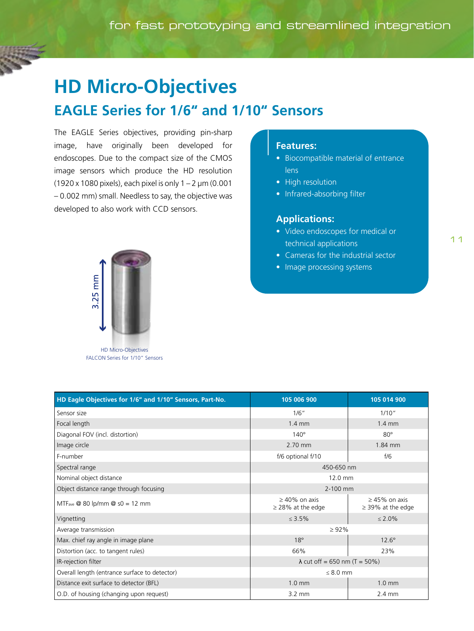### <span id="page-10-0"></span>**HD Micro-Objectives EAGLE Series for 1/6" and 1/10" Sensors**

The EAGLE Series objectives, providing pin-sharp image, have originally been developed for endoscopes. Due to the compact size of the CMOS image sensors which produce the HD resolution (1920 x 1080 pixels), each pixel is only  $1 - 2 \mu m$  (0.001 – 0.002 mm) small. Needless to say, the objective was developed to also work with CCD sensors.

### **Features:**

- Biocompatible material of entrance lens
- High resolution
- Infrared-absorbing filter

#### **Applications:**

- Video endoscopes for medical or technical applications
- Cameras for the industrial sector
- Image processing systems



HD Micro-Objectives FALCON Series for 1/10" Sensors

| HD Eagle Objectives for 1/6" and 1/10" Sensors, Part-No. | 105 006 900                                   | 105 014 900                                  |  |
|----------------------------------------------------------|-----------------------------------------------|----------------------------------------------|--|
| Sensor size                                              | 1/6"                                          | 1/10''                                       |  |
| Focal length                                             | $1.4 \text{ mm}$                              | $1.4 \text{ mm}$                             |  |
| Diagonal FOV (incl. distortion)                          | $140^\circ$                                   | $80^\circ$                                   |  |
| Image circle                                             | 2.70 mm                                       | 1.84 mm                                      |  |
| F-number                                                 | f/6 optional f/10                             | f/6                                          |  |
| Spectral range                                           | 450-650 nm                                    |                                              |  |
| Nominal object distance                                  | 12.0 mm                                       |                                              |  |
| Object distance range through focusing                   | 2-100 mm                                      |                                              |  |
| MTF <sub>ave</sub> $\omega$ 80 lp/mm $\omega$ s0 = 12 mm | $\geq 40\%$ on axis<br>$\geq$ 28% at the edge | $\geq$ 45% on axis<br>$\geq$ 39% at the edge |  |
| Vignetting                                               | $\leq 3.5\%$                                  | $\leq 2.0\%$                                 |  |
| Average transmission                                     | $\geq 92\%$                                   |                                              |  |
| Max. chief ray angle in image plane                      | $18^\circ$                                    | $12.6^\circ$                                 |  |
| Distortion (acc. to tangent rules)                       | 66%                                           | 23%                                          |  |
| IR-rejection filter                                      | $\lambda$ cut off = 650 nm (T = 50%)          |                                              |  |
| Overall length (entrance surface to detector)            | $\leq 8.0$ mm                                 |                                              |  |
| Distance exit surface to detector (BFL)                  | $1.0 \text{ mm}$                              | $1.0 \text{ mm}$                             |  |
| O.D. of housing (changing upon request)                  | $3.2 \text{ mm}$                              | $2.4 \text{ mm}$                             |  |

#### 11